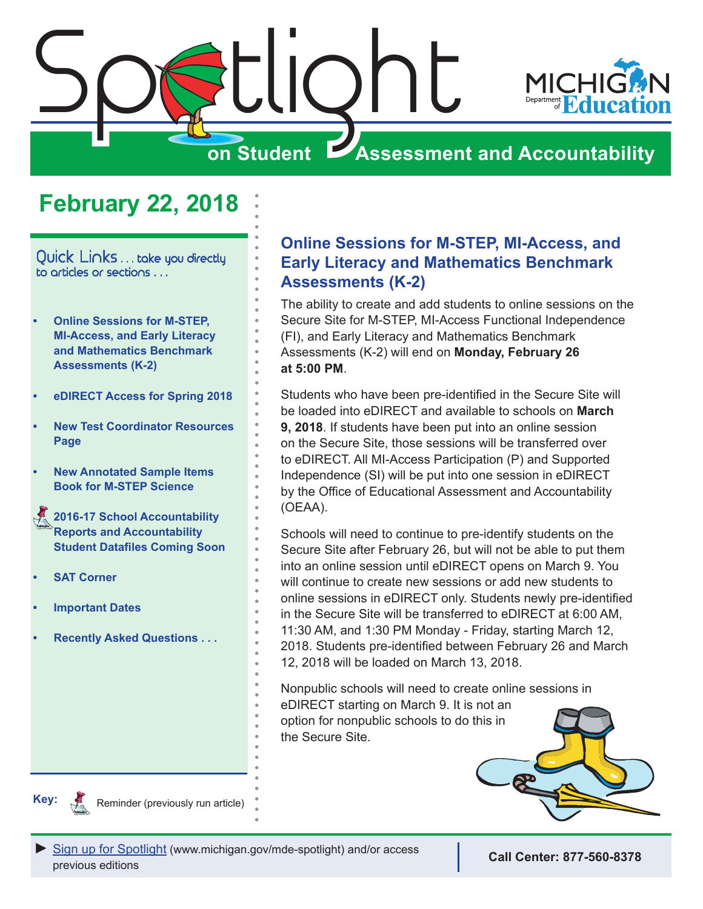<span id="page-0-0"></span>

# **February 22, 2018**

Quick Links . . . take you directly to articles or sections . . .

- **• Online Sessions for M-STEP, MI-Access, and Early Literacy and Mathematics Benchmark Assessments (K-2)**
- **• [eDIRECT Access for Spring 2018](#page-1-0)**
- **• [New Test Coordinator Resources](#page-1-0)  [Page](#page-1-0)**
- **• [New Annotated Sample Items](#page-2-0)  [Book for M-STEP Science](#page-2-0)**
- Reminders **[2016-17 School Accountability](#page-2-0)  [Reports and Accountability](#page-2-0)  [Student Datafiles Coming Soon](#page-2-0)**
- **• [SAT Corner](#page-3-0)**
- **• [Important Dates](#page-5-0)**
- **• [Recently Asked Questions . . .](#page-6-0)**

## **Online Sessions for M-STEP, MI-Access, and Early Literacy and Mathematics Benchmark Assessments (K-2)**

The ability to create and add students to online sessions on the Secure Site for M-STEP, MI-Access Functional Independence (FI), and Early Literacy and Mathematics Benchmark Assessments (K-2) will end on **Monday, February 26 at 5:00 PM**.

Students who have been pre-identified in the Secure Site will be loaded into eDIRECT and available to schools on **March 9, 2018**. If students have been put into an online session on the Secure Site, those sessions will be transferred over to eDIRECT. All MI-Access Participation (P) and Supported Independence (SI) will be put into one session in eDIRECT by the Office of Educational Assessment and Accountability (OEAA).

Schools will need to continue to pre-identify students on the Secure Site after February 26, but will not be able to put them into an online session until eDIRECT opens on March 9. You will continue to create new sessions or add new students to online sessions in eDIRECT only. Students newly pre-identified in the Secure Site will be transferred to eDIRECT at 6:00 AM, 11:30 AM, and 1:30 PM Monday - Friday, starting March 12, 2018. Students pre-identified between February 26 and March 12, 2018 will be loaded on March 13, 2018.

Nonpublic schools will need to create online sessions in eDIRECT starting on March 9. It is not an option for nonpublic schools to do this in the Secure Site.





Reminder (previously run article)



**Call Center: 877-560-8378**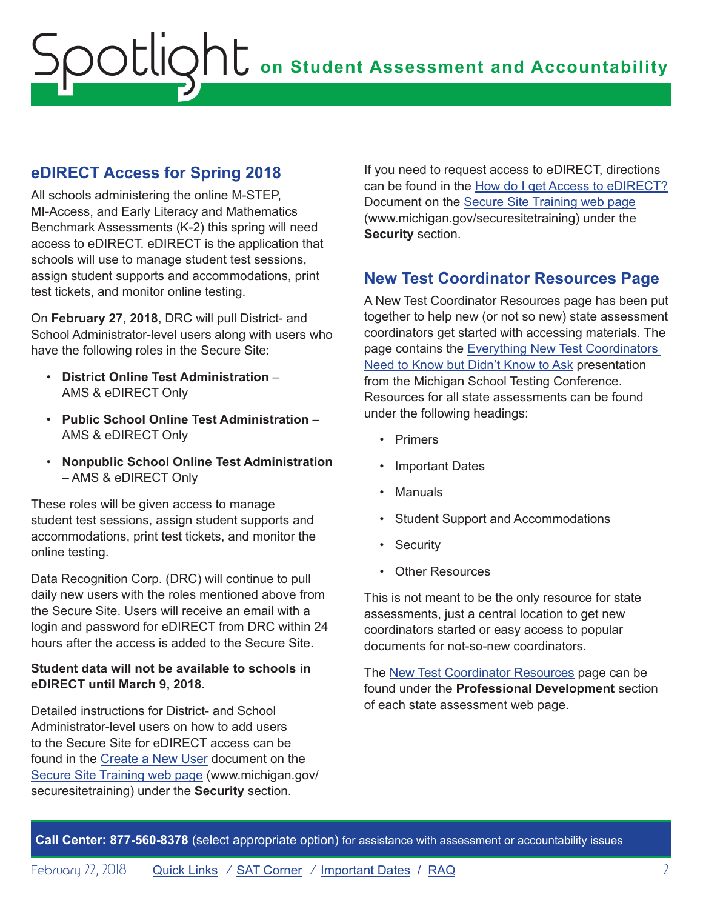## <span id="page-1-0"></span>**eDIRECT Access for Spring 2018**

All schools administering the online M-STEP, MI-Access, and Early Literacy and Mathematics Benchmark Assessments (K-2) this spring will need access to eDIRECT. eDIRECT is the application that schools will use to manage student test sessions, assign student supports and accommodations, print test tickets, and monitor online testing.

On **February 27, 2018**, DRC will pull District- and School Administrator-level users along with users who have the following roles in the Secure Site:

- **District Online Test Administration** AMS & eDIRECT Only
- **Public School Online Test Administration** AMS & eDIRECT Only
- **Nonpublic School Online Test Administration** – AMS & eDIRECT Only

These roles will be given access to manage student test sessions, assign student supports and accommodations, print test tickets, and monitor the online testing.

Data Recognition Corp. (DRC) will continue to pull daily new users with the roles mentioned above from the Secure Site. Users will receive an email with a login and password for eDIRECT from DRC within 24 hours after the access is added to the Secure Site.

### **Student data will not be available to schools in eDIRECT until March 9, 2018.**

Detailed instructions for District- and School Administrator-level users on how to add users to the Secure Site for eDIRECT access can be found in the [Create a New User](http://www.michigan.gov/documents/mde/Create_a_New_User_ada_603168_7.pdf) document on the [Secure Site Training web page](http://www.michigan.gov/securesitetraining) ([www.michigan.gov/](http://www.michigan.gov/securesitetraining) [securesitetraining](http://www.michigan.gov/securesitetraining)) under the **Security** section.

If you need to request access to eDIRECT, directions can be found in the [How do I get Access to eDIRECT?](http://www.michigan.gov/documents/mde/How_do_I_get_access_to_eDIRECT_604305_7.pdf) Document on the [Secure Site Training web page](http://www.michigan.gov/securesitetraining) ([www.michigan.gov/securesitetraining](http://www.michigan.gov/securesitetraining)) under the **Security** section.

## **New Test Coordinator Resources Page**

A New Test Coordinator Resources page has been put together to help new (or not so new) state assessment coordinators get started with accessing materials. The page contains the Everything New Test Coordinators [Need to Know but Didn't Know to Ask](http://www.michigan.gov/documents/mde/S18_MSTC_New_Assessment_Coordinator_Workshop_Presentation_613551_7.pdf) presentation from the Michigan School Testing Conference. Resources for all state assessments can be found under the following headings:

- Primers
- **Important Dates**
- **Manuals**
- Student Support and Accommodations
- **Security**
- Other Resources

This is not meant to be the only resource for state assessments, just a central location to get new coordinators started or easy access to popular documents for not-so-new coordinators.

The [New Test Coordinator Resources](http://www.michigan.gov/mde/0,4615,7-140-22709_70117-459587--,00.html) page can be found under the **Professional Development** section of each state assessment web page.

**Call Center: 877-560-8378** (select appropriate option) for assistance with assessment or accountability issues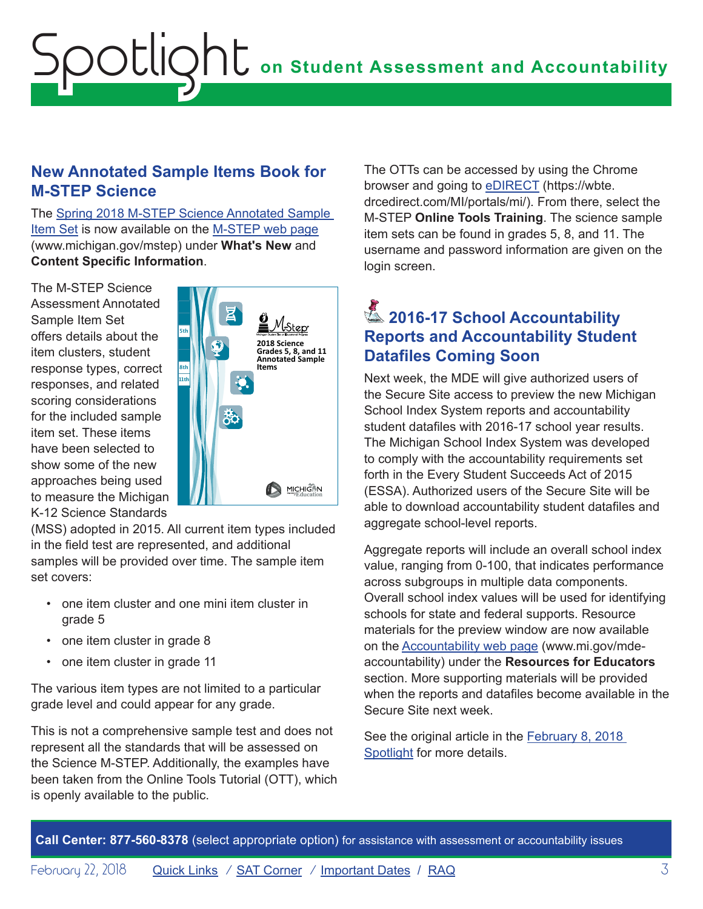## <span id="page-2-0"></span>**New Annotated Sample Items Book for M-STEP Science**

The [Spring 2018 M-STEP Science Annotated Sample](http://www.michigan.gov/documents/mde/2018_M-STEP_Annotated_Sample_Items_test_614886_7.pdf)  [Item Set](http://www.michigan.gov/documents/mde/2018_M-STEP_Annotated_Sample_Items_test_614886_7.pdf) is now available on the [M-STEP web page](www.michigan.gov/mstep) ([www.michigan.gov/mstep\)](www.michigan.gov/mstep) under **What's New** and **Content Specific Information**.

The M-STEP Science Assessment Annotated Sample Item Set offers details about the item clusters, student response types, correct responses, and related scoring considerations for the included sample item set. These items have been selected to show some of the new approaches being used to measure the Michigan K-12 Science Standards



(MSS) adopted in 2015. All current item types included in the field test are represented, and additional samples will be provided over time. The sample item set covers:

- one item cluster and one mini item cluster in grade 5
- one item cluster in grade 8
- one item cluster in grade 11

The various item types are not limited to a particular grade level and could appear for any grade.

This is not a comprehensive sample test and does not represent all the standards that will be assessed on the Science M-STEP. Additionally, the examples have been taken from the Online Tools Tutorial (OTT), which is openly available to the public.

The OTTs can be accessed by using the Chrome browser and going to [eDIRECT](https://wbte.drcedirect.com/MI/portals/mi/) ([https://wbte.](https://wbte.drcedirect.com/MI/portals/mi/) [drcedirect.com/MI/portals/mi/](https://wbte.drcedirect.com/MI/portals/mi/)). From there, select the M-STEP **Online Tools Training**. The science sample item sets can be found in grades 5, 8, and 11. The username and password information are given on the login screen.

# **2016-17 School Accountability Reports and Accountability Student Datafiles Coming Soon**

Next week, the MDE will give authorized users of the Secure Site access to preview the new Michigan School Index System reports and accountability student datafiles with 2016-17 school year results. The Michigan School Index System was developed to comply with the accountability requirements set forth in the Every Student Succeeds Act of 2015 (ESSA). Authorized users of the Secure Site will be able to download accountability student datafiles and aggregate school-level reports.

Aggregate reports will include an overall school index value, ranging from 0-100, that indicates performance across subgroups in multiple data components. Overall school index values will be used for identifying schools for state and federal supports. Resource materials for the preview window are now available on the [Accountability web page](http://www.mi.gov/mde-accountability) ([www.mi.gov/mde](http://www.mi.gov/mde-accountability)[accountability\)](http://www.mi.gov/mde-accountability) under the **Resources for Educators** section. More supporting materials will be provided when the reports and datafiles become available in the Secure Site next week.

See the original article in the **February 8, 2018** [Spotlight](http://www.michigan.gov/documents/mde/Spotlight_2-8-18_613350_7.pdf) for more details.

**Call Center: 877-560-8378** (select appropriate option) for assistance with assessment or accountability issues

February 22, 2018 **[Quick Links](#page-0-0)** / **[SAT Corner](#page-3-1)** / **Important Dates** / **R[AQ](#page-6-1)** 3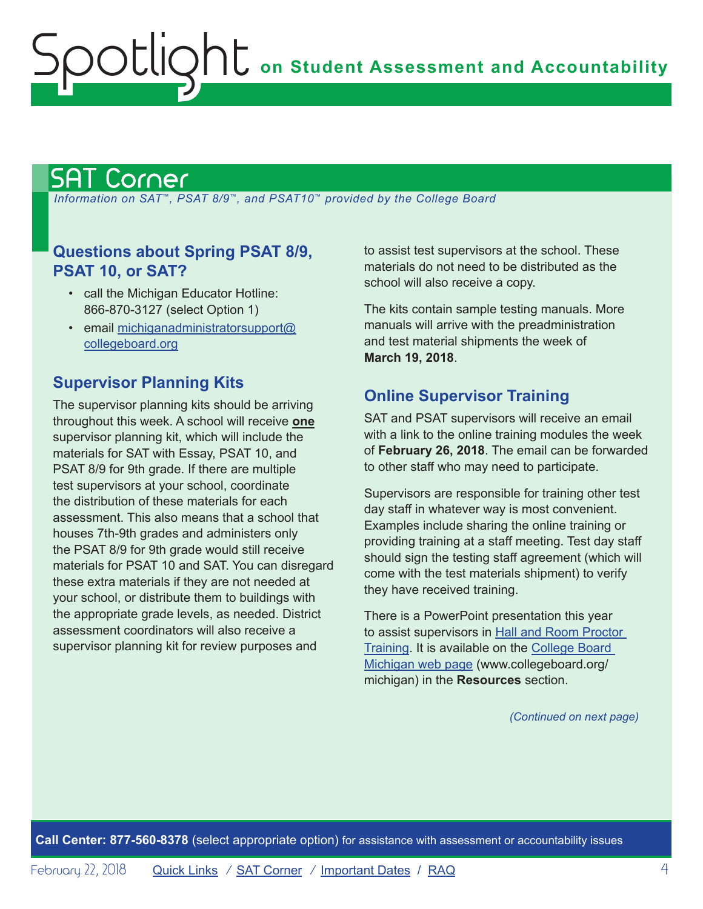# <span id="page-3-1"></span>SAT Corner

<span id="page-3-0"></span>Spotlight

 *Information on SAT*™*, PSAT 8/9*™*, and PSAT10*™ *provided by the College Board*

## **Questions about Spring PSAT 8/9, PSAT 10, or SAT?**

- call the Michigan Educator Hotline: 866-870-3127 (select Option 1)
- email [michiganadministratorsupport@](mailto:michiganadministratorsupport%40collegeboard.org?subject=) [collegeboard.org](mailto:michiganadministratorsupport%40collegeboard.org?subject=)

## **Supervisor Planning Kits**

The supervisor planning kits should be arriving throughout this week. A school will receive **one** supervisor planning kit, which will include the materials for SAT with Essay, PSAT 10, and PSAT 8/9 for 9th grade. If there are multiple test supervisors at your school, coordinate the distribution of these materials for each assessment. This also means that a school that houses 7th-9th grades and administers only the PSAT 8/9 for 9th grade would still receive materials for PSAT 10 and SAT. You can disregard these extra materials if they are not needed at your school, or distribute them to buildings with the appropriate grade levels, as needed. District assessment coordinators will also receive a supervisor planning kit for review purposes and

to assist test supervisors at the school. These materials do not need to be distributed as the school will also receive a copy.

The kits contain sample testing manuals. More manuals will arrive with the preadministration and test material shipments the week of **March 19, 2018**.

## **Online Supervisor Training**

SAT and PSAT supervisors will receive an email with a link to the online training modules the week of **February 26, 2018**. The email can be forwarded to other staff who may need to participate.

Supervisors are responsible for training other test day staff in whatever way is most convenient. Examples include sharing the online training or providing training at a staff meeting. Test day staff should sign the testing staff agreement (which will come with the test materials shipment) to verify they have received training.

There is a PowerPoint presentation this year to assist supervisors in [Hall and Room Proctor](https://collegereadiness.collegeboard.org/pdf/hall-and-room-proctor-training.pdf)  [Training.](https://collegereadiness.collegeboard.org/pdf/hall-and-room-proctor-training.pdf) It is available on the [College Board](http://www.collegeboard.org/michigan)  [Michigan web page](http://www.collegeboard.org/michigan) ([www.collegeboard.org/](http://www.collegeboard.org/michigan) [michigan](http://www.collegeboard.org/michigan)) in the **Resources** section.

*(Continued on next page)*

**Call Center: 877-560-8378** (select appropriate option) for assistance with assessment or accountability issues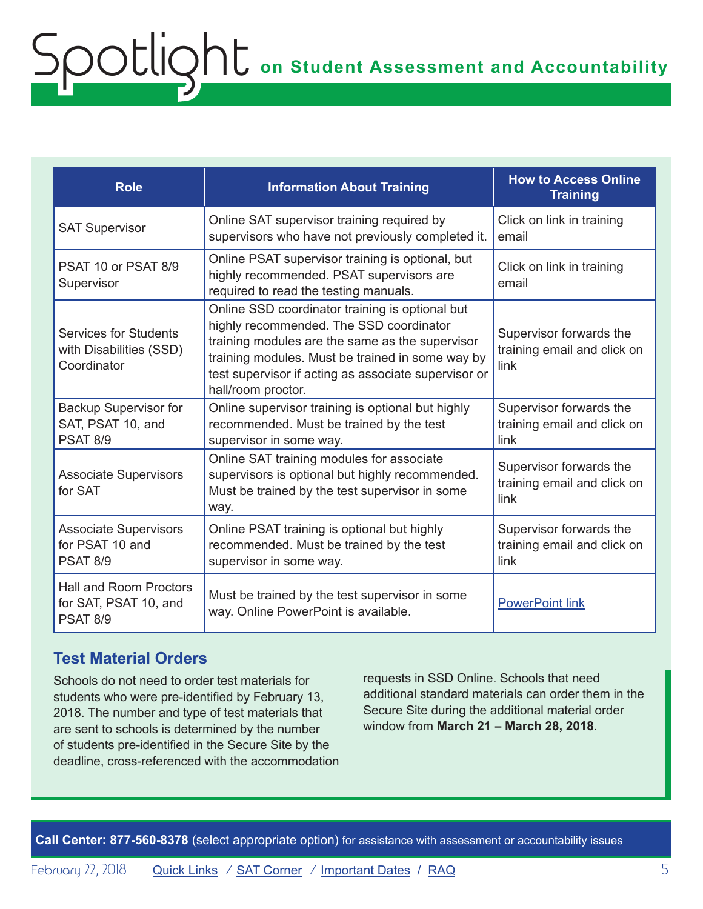| <b>Role</b>                                                               | <b>Information About Training</b>                                                                                                                                                                                                                                               | <b>How to Access Online</b><br><b>Training</b>                 |
|---------------------------------------------------------------------------|---------------------------------------------------------------------------------------------------------------------------------------------------------------------------------------------------------------------------------------------------------------------------------|----------------------------------------------------------------|
| <b>SAT Supervisor</b>                                                     | Online SAT supervisor training required by<br>supervisors who have not previously completed it.                                                                                                                                                                                 | Click on link in training<br>email                             |
| PSAT 10 or PSAT 8/9<br>Supervisor                                         | Online PSAT supervisor training is optional, but<br>highly recommended. PSAT supervisors are<br>required to read the testing manuals.                                                                                                                                           | Click on link in training<br>email                             |
| <b>Services for Students</b><br>with Disabilities (SSD)<br>Coordinator    | Online SSD coordinator training is optional but<br>highly recommended. The SSD coordinator<br>training modules are the same as the supervisor<br>training modules. Must be trained in some way by<br>test supervisor if acting as associate supervisor or<br>hall/room proctor. | Supervisor forwards the<br>training email and click on<br>link |
| <b>Backup Supervisor for</b><br>SAT, PSAT 10, and<br><b>PSAT 8/9</b>      | Online supervisor training is optional but highly<br>recommended. Must be trained by the test<br>supervisor in some way.                                                                                                                                                        | Supervisor forwards the<br>training email and click on<br>link |
| <b>Associate Supervisors</b><br>for SAT                                   | Online SAT training modules for associate<br>supervisors is optional but highly recommended.<br>Must be trained by the test supervisor in some<br>way.                                                                                                                          | Supervisor forwards the<br>training email and click on<br>link |
| <b>Associate Supervisors</b><br>for PSAT 10 and<br><b>PSAT 8/9</b>        | Online PSAT training is optional but highly<br>recommended. Must be trained by the test<br>supervisor in some way.                                                                                                                                                              | Supervisor forwards the<br>training email and click on<br>link |
| <b>Hall and Room Proctors</b><br>for SAT, PSAT 10, and<br><b>PSAT 8/9</b> | Must be trained by the test supervisor in some<br>way. Online PowerPoint is available.                                                                                                                                                                                          | <b>PowerPoint link</b>                                         |

## **Test Material Orders**

Schools do not need to order test materials for students who were pre-identified by February 13, 2018. The number and type of test materials that are sent to schools is determined by the number of students pre-identified in the Secure Site by the deadline, cross-referenced with the accommodation requests in SSD Online. Schools that need additional standard materials can order them in the Secure Site during the additional material order window from **March 21 – March 28, 2018**.

**Call Center: 877-560-8378** (select appropriate option) for assistance with assessment or accountability issues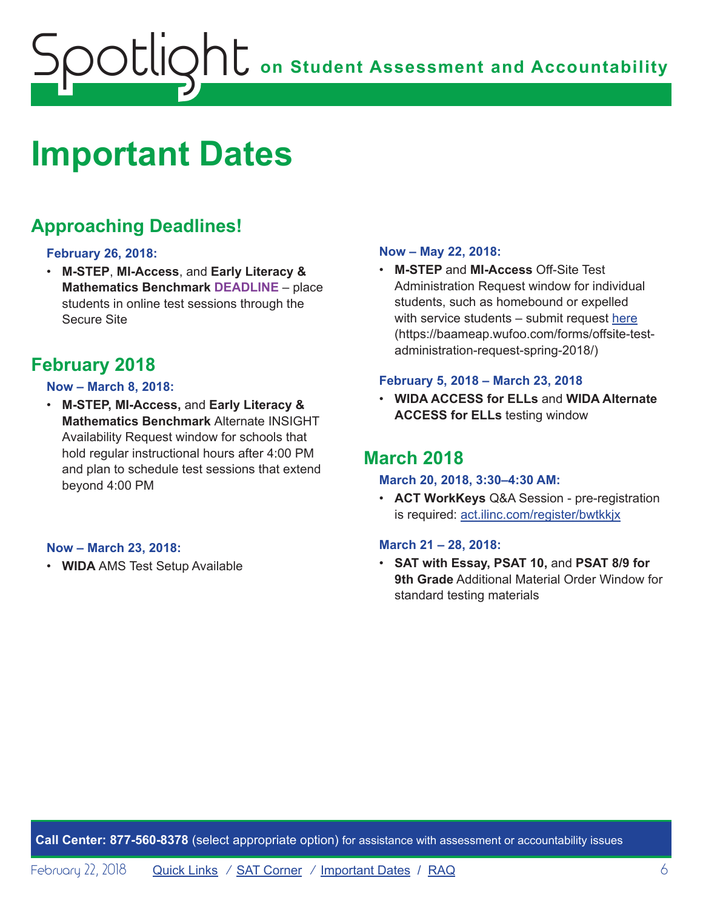# <span id="page-5-1"></span><span id="page-5-0"></span>**Important Dates**

# **Approaching Deadlines!**

### **February 26, 2018:**

• **M-STEP**, **MI-Access**, and **Early Literacy & Mathematics Benchmark DEADLINE** – place students in online test sessions through the Secure Site

## **February 2018**

### **Now – March 8, 2018:**

• **M-STEP, MI-Access,** and **Early Literacy & Mathematics Benchmark** Alternate INSIGHT Availability Request window for schools that hold regular instructional hours after 4:00 PM and plan to schedule test sessions that extend beyond 4:00 PM

#### **Now – March 23, 2018:**

• **WIDA** AMS Test Setup Available

#### **Now – May 22, 2018:**

• **M-STEP** and **MI-Access** Off-Site Test Administration Request window for individual students, such as homebound or expelled with service students – submit request [here](https://baameap.wufoo.com/forms/offsite-test-administration-request-spring-2018/) ([https://baameap.wufoo.com/forms/offsite-test](https://baameap.wufoo.com/forms/offsite-test-administration-request-spring-2018/)[administration-request-spring-2018/](https://baameap.wufoo.com/forms/offsite-test-administration-request-spring-2018/))

#### **February 5, 2018 – March 23, 2018**

• **WIDA ACCESS for ELLs** and **WIDA Alternate ACCESS for ELLs** testing window

## **March 2018**

### **March 20, 2018, 3:30–4:30 AM:**

• **ACT WorkKeys** Q&A Session - pre-registration is required: act.ilinc.com/register/bwtkkjx

### **March 21 – 28, 2018:**

• **SAT with Essay, PSAT 10,** and **PSAT 8/9 for 9th Grade** Additional Material Order Window for standard testing materials

**Call Center: 877-560-8378** (select appropriate option) for assistance with assessment or accountability issues

February 22, 2018 **[Quick Links](#page-0-0)** / **[SAT Corner](#page-3-1)** / **Important Dates** / **R[AQ](#page-6-1)** 6